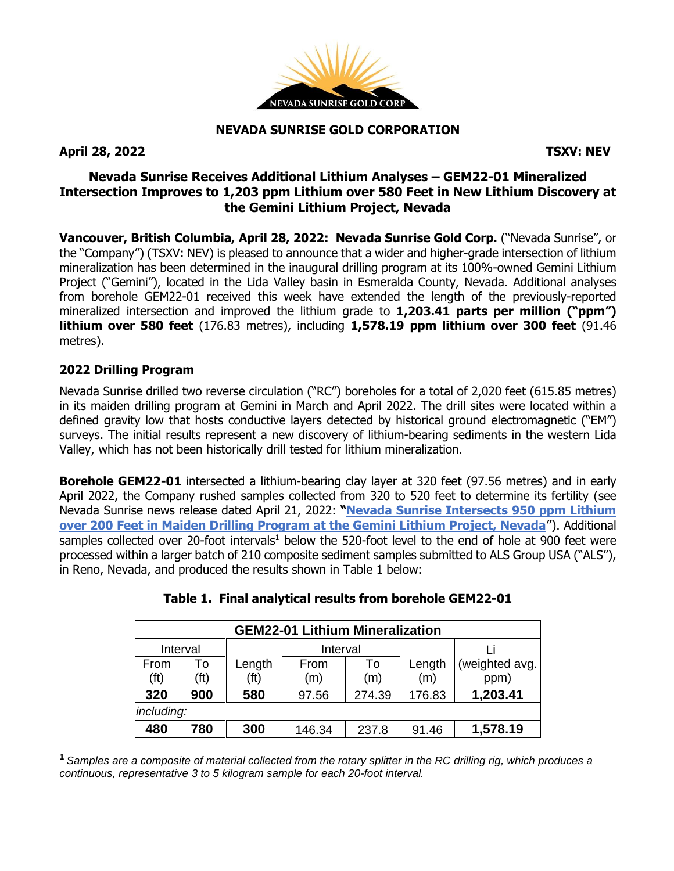

#### **NEVADA SUNRISE GOLD CORPORATION**

**April 28, 2022 TSXV: NEV**

## **Nevada Sunrise Receives Additional Lithium Analyses – GEM22-01 Mineralized Intersection Improves to 1,203 ppm Lithium over 580 Feet in New Lithium Discovery at the Gemini Lithium Project, Nevada**

**Vancouver, British Columbia, April 28, 2022: Nevada Sunrise Gold Corp.** ("Nevada Sunrise", or the "Company") (TSXV: NEV) is pleased to announce that a wider and higher-grade intersection of lithium mineralization has been determined in the inaugural drilling program at its 100%-owned Gemini Lithium Project ("Gemini"), located in the Lida Valley basin in Esmeralda County, Nevada. Additional analyses from borehole GEM22-01 received this week have extended the length of the previously-reported mineralized intersection and improved the lithium grade to **1,203.41 parts per million ("ppm") lithium over 580 feet** (176.83 metres), including **1,578.19 ppm lithium over 300 feet** (91.46 metres).

### **2022 Drilling Program**

Nevada Sunrise drilled two reverse circulation ("RC") boreholes for a total of 2,020 feet (615.85 metres) in its maiden drilling program at Gemini in March and April 2022. The drill sites were located within a defined gravity low that hosts conductive layers detected by historical ground electromagnetic ("EM") surveys. The initial results represent a new discovery of lithium-bearing sediments in the western Lida Valley, which has not been historically drill tested for lithium mineralization.

**Borehole GEM22-01** intersected a lithium-bearing clay layer at 320 feet (97.56 metres) and in early April 2022, the Company rushed samples collected from 320 to 520 feet to determine its fertility (see Nevada Sunrise news release dated April 21, 2022: **"[Nevada Sunrise Intersects 950 ppm Lithium](https://www.nevadasunrise.ca/wp-content/uploads/2022/04/Nevada-Sunrise-Intersects-Lithium-Mineralization-at-th.pdf)  [over 200 Feet in Maiden Drilling Program at the Gemini Lithium Project, Nevada](https://www.nevadasunrise.ca/wp-content/uploads/2022/04/Nevada-Sunrise-Intersects-Lithium-Mineralization-at-th.pdf)**"). Additional samples collected over 20-foot intervals<sup>1</sup> below the 520-foot level to the end of hole at 900 feet were processed within a larger batch of 210 composite sediment samples submitted to ALS Group USA ("ALS"), in Reno, Nevada, and produced the results shown in Table 1 below:

| <b>GEM22-01 Lithium Mineralization</b> |                   |        |          |        |        |                |
|----------------------------------------|-------------------|--------|----------|--------|--------|----------------|
| Interval                               |                   |        | Interval |        |        |                |
| From                                   | To                | Length | From     | To     | Length | (weighted avg. |
| (ft)                                   | (f <sup>t</sup> ) | (ft)   | (m)      | (m)    | (m)    | ppm)           |
| 320                                    | 900               | 580    | 97.56    | 274.39 | 176.83 | 1,203.41       |
| including:                             |                   |        |          |        |        |                |
| 480                                    | 780               | 300    | 146.34   | 237.8  | 91.46  | 1,578.19       |

# **Table 1. Final analytical results from borehole GEM22-01**

<sup>1</sup> Samples are a composite of material collected from the rotary splitter in the RC drilling rig, which produces a *continuous, representative 3 to 5 kilogram sample for each 20-foot interval.*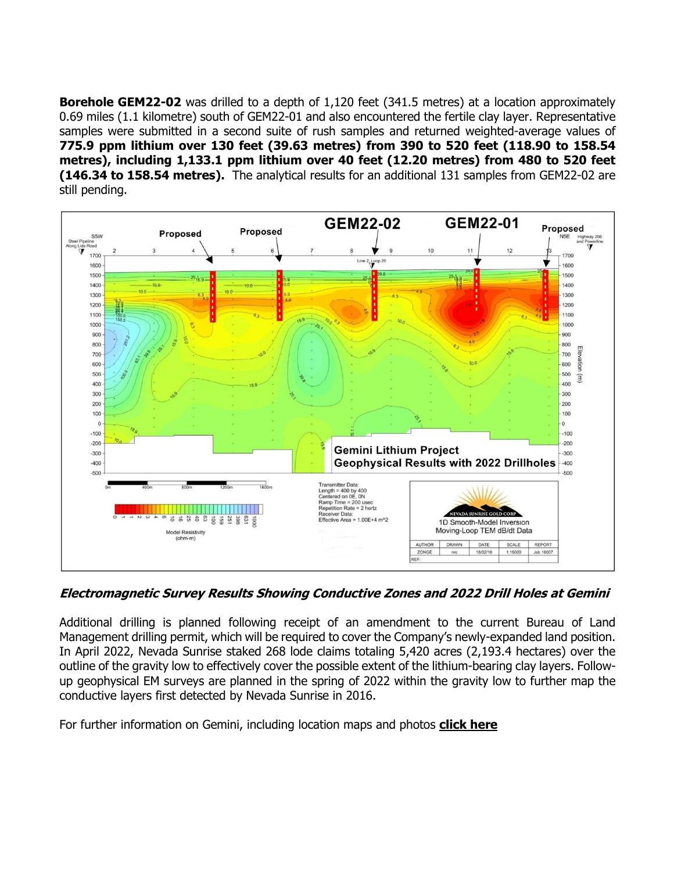**Borehole GEM22-02** was drilled to a depth of 1,120 feet (341.5 metres) at a location approximately 0.69 miles (1.1 kilometre) south of GEM22-01 and also encountered the fertile clay layer. Representative samples were submitted in a second suite of rush samples and returned weighted-average values of **775.9 ppm lithium over 130 feet (39.63 metres) from 390 to 520 feet (118.90 to 158.54 metres), including 1,133.1 ppm lithium over 40 feet (12.20 metres) from 480 to 520 feet (146.34 to 158.54 metres).** The analytical results for an additional 131 samples from GEM22-02 are still pending.



**Electromagnetic Survey Results Showing Conductive Zones and 2022 Drill Holes at Gemini**

Additional drilling is planned following receipt of an amendment to the current Bureau of Land Management drilling permit, which will be required to cover the Company's newly-expanded land position. In April 2022, Nevada Sunrise staked 268 lode claims totaling 5,420 acres (2,193.4 hectares) over the outline of the gravity low to effectively cover the possible extent of the lithium-bearing clay layers. Followup geophysical EM surveys are planned in the spring of 2022 within the gravity low to further map the conductive layers first detected by Nevada Sunrise in 2016.

For further information on Gemini, including location maps and photos **click [here](https://www.nevadasunrise.ca/projects/nevadalithium/)**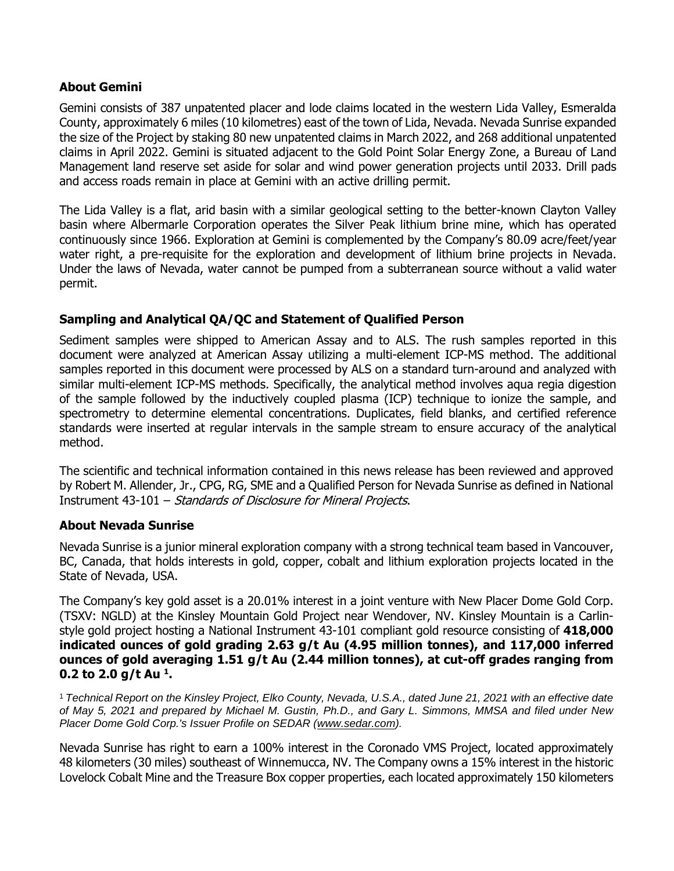### **About Gemini**

Gemini consists of 387 unpatented placer and lode claims located in the western Lida Valley, Esmeralda County, approximately 6 miles (10 kilometres) east of the town of Lida, Nevada. Nevada Sunrise expanded the size of the Project by staking 80 new unpatented claims in March 2022, and 268 additional unpatented claims in April 2022. Gemini is situated adjacent to the Gold Point Solar Energy Zone, a Bureau of Land Management land reserve set aside for solar and wind power generation projects until 2033. Drill pads and access roads remain in place at Gemini with an active drilling permit.

The Lida Valley is a flat, arid basin with a similar geological setting to the better-known Clayton Valley basin where Albermarle Corporation operates the Silver Peak lithium brine mine, which has operated continuously since 1966. Exploration at Gemini is complemented by the Company's 80.09 acre/feet/year water right, a pre-requisite for the exploration and development of lithium brine projects in Nevada. Under the laws of Nevada, water cannot be pumped from a subterranean source without a valid water permit.

## **Sampling and Analytical QA/QC and Statement of Qualified Person**

Sediment samples were shipped to American Assay and to ALS. The rush samples reported in this document were analyzed at American Assay utilizing a multi-element ICP-MS method. The additional samples reported in this document were processed by ALS on a standard turn-around and analyzed with similar multi-element ICP-MS methods. Specifically, the analytical method involves aqua regia digestion of the sample followed by the inductively coupled plasma (ICP) technique to ionize the sample, and spectrometry to determine elemental concentrations. Duplicates, field blanks, and certified reference standards were inserted at regular intervals in the sample stream to ensure accuracy of the analytical method.

The scientific and technical information contained in this news release has been reviewed and approved by Robert M. Allender, Jr., CPG, RG, SME and a Qualified Person for Nevada Sunrise as defined in National Instrument 43-101 – Standards of Disclosure for Mineral Projects.

#### **About Nevada Sunrise**

Nevada Sunrise is a junior mineral exploration company with a strong technical team based in Vancouver, BC, Canada, that holds interests in gold, copper, cobalt and lithium exploration projects located in the State of Nevada, USA.

The Company's key gold asset is a 20.01% interest in a joint venture with New Placer Dome Gold Corp. (TSXV: NGLD) at the Kinsley Mountain Gold Project near Wendover, NV. Kinsley Mountain is a Carlinstyle gold project hosting a National Instrument 43-101 compliant gold resource consisting of **418,000 indicated ounces of gold grading 2.63 g/t Au (4.95 million tonnes), and 117,000 inferred ounces of gold averaging 1.51 g/t Au (2.44 million tonnes), at cut-off grades ranging from 0.2 to 2.0 g/t Au <sup>1</sup> .**

<sup>1</sup> Technical Report on the Kinsley Project, Elko County, Nevada, U.S.A., dated June 21, 2021 with an effective date of May 5, 2021 and prepared by Michael M. Gustin, Ph.D., and Gary L. Simmons, MMSA and filed under New *Placer Dome Gold Corp.'s Issuer Profile on SEDAR [\(www.sedar.com\)](https://c212.net/c/link/?t=0&l=en&o=3232825-1&h=4288497972&u=http%3A%2F%2Fwww.sedar.com%2F&a=www.sedar.com).*

Nevada Sunrise has right to earn a 100% interest in the Coronado VMS Project, located approximately 48 kilometers (30 miles) southeast of Winnemucca, NV. The Company owns a 15% interest in the historic Lovelock Cobalt Mine and the Treasure Box copper properties, each located approximately 150 kilometers